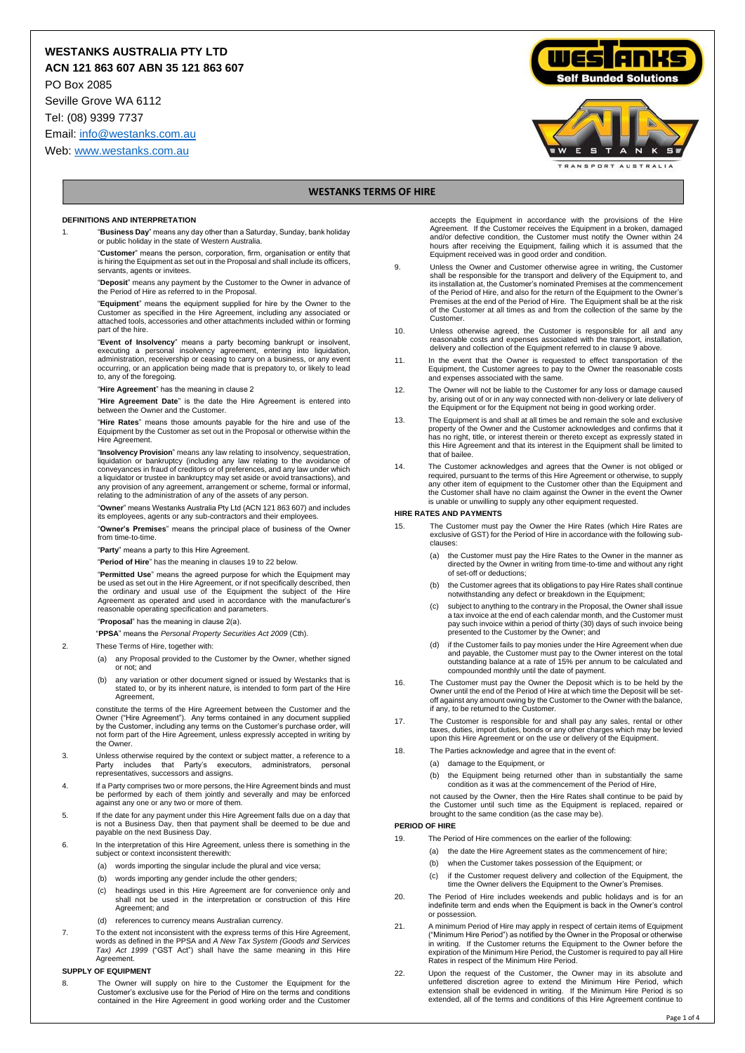# **WESTANKS AUSTRALIA PTY LTD**

**ACN 121 863 607 ABN 35 121 863 607**

PO Box 2085

Seville Grove WA 6112

Tel: (08) 9399 7737

Email[: info@westanks.com.au](mailto:info@westanks.com.au)

Web[: www.westanks.com.au](http://www.westanks.com.au/)





# **WESTANKS TERMS OF HIRE**

#### **DEFINITIONS AND INTERPRETATION**

- 1. "**Business Day**" means any day other than a Saturday, Sunday, bank holiday or public holiday in the state of Western Australia.
	- "**Customer**" means the person, corporation, firm, organisation or entity that is hiring the Equipment as set out in the Proposal and shall include its officers, servants, agents or invitees.
	- "**Deposit**" means any payment by the Customer to the Owner in advance of the Period of Hire as referred to in the Proposal.
	- "**Equipment**" means the equipment supplied for hire by the Owner to the Customer as specified in the Hire Agreement, including any associated or attached tools, accessories and other attachments included within or forming part of the hire.
	- "**Event of Insolvency**" means a party becoming bankrupt or insolvent, executing a personal insolvency agreement, entering into liquidation, administration, receivership or ceasing to carry on a business, or any event occur to, any of the foregoing.
	- "**Hire Agreement**" has the meaning in clause 2
	- "**Hire Agreement Date**" is the date the Hire Agreement is entered into between the Owner and the Customer.

"**Hire Rates**" means those amounts payable for the hire and use of the Equipment by the Customer as set out in the Proposal or otherwise within the Hire Agreement.

"**Insolvency Provision**" means any law relating to insolvency, sequestration, liquidation or bankruptcy (including any law relating to the avoidance of conveyances in fraud of creditors or of preferences, and any law under which a liquidator or trustee in bankruptcy may set aside or avoid transactions), and any provision of any agreement, arrangement or scheme, formal or informal, relating to the administration of any of the assets of any person.

"**Owner**" means Westanks Australia Pty Ltd (ACN 121 863 607) and includes its employees, agents or any sub-contractors and their employees.

"**Owner's Premises**" means the principal place of business of the Owner from time-to-time.

"**Party**" means a party to this Hire Agreement.

"**Period of Hire**" has the meaning in clauses 19 to 22 below.

"**Permitted Use**" means the agreed purpose for which the Equipment may be used as set out in the Hire Agreement, or if not specifically described, then the ordinary and usual use of the Equipment the subject of the Hire Agreement as operated and used in accordance with the manufacturer's reasonable operating specification and parameters.

"**Proposal**" has the meaning in clause 2(a).

- "**PPSA**" means the *Personal Property Securities Act 2009* (Cth).
- 2. These Terms of Hire, together with:
	- (a) any Proposal provided to the Customer by the Owner, whether signed or not; and
	- (b) any variation or other document signed or issued by Westanks that is stated to, or by its inherent nature, is intended to form part of the Hire **Agreement**

constitute the terms of the Hire Agreement between the Customer and the Owner ("Hire Agreement"). Any terms contained in any document supplied by the Customer, including any terms on the Customer's purchase order, will not form part of the Hire Agreement, unless expressly accepted in writing by the Owner.

- 3. Unless otherwise required by the context or subject matter, a reference to a includes that Party's representatives, successors and assigns.
- 4. If a Party comprises two or more persons, the Hire Agreement binds and must be performed by each of them jointly and severally and may be enforced against any one or any two or more of them.
- 5. If the date for any payment under this Hire Agreement falls due on a day that is not a Business Day, then that payment shall be deemed to be due and payable on the next Business Day.
- 6. In the interpretation of this Hire Agreement, unless there is something in the subject or context inconsistent therewith:
	- (a) words importing the singular include the plural and vice versa;
	- (b) words importing any gender include the other genders;
	- (c) headings used in this Hire Agreement are for convenience only and shall not be used in the interpretation or construction of this Hire Agreement; and
	- (d) references to currency means Australian currency.
- 7. To the extent not inconsistent with the express terms of this Hire Agreement, words as defined in the PPSA and *A New Tax System (Goods and Services Tax) Act 1999* ("GST Act") shall have the same meaning in this Hire Agreement

#### **SUPPLY OF EQUIPMENT**

8. The Owner will supply on hire to the Customer the Equipment for the Customer's exclusive use for the Period of Hire on the terms and conditions<br>Contained in the Hire Agreement in good working order and the Customer

accepts the Equipment in accordance with the provisions of the Hire Agreement. If the Customer receives the Equipment in a broken, damaged and/or defective condition, the Customer must notify the Owner within 24 hours after receiving the Equipment, failing which it is assumed that the Equipment received was in good order and condition.

- 9. Unless the Owner and Customer otherwise agree in writing, the Customer shall be responsible for the transport and delivery of the Equipment to, and its installation at, the Customer's nominated Premises at the commencement of the Period of Hire, and also for the return of the Equipment to the Owner's Premises at the end of the Period of Hire. The Equipment shall be at the risk of the Customer at all times as and from the collection of the same by the Customer.
- 10. Unless otherwise agreed, the Customer is responsible for all and any reasonable costs and expenses associated with the transport, installation, delivery and collection of the Equipment referred to in clause 9 above.
- 11. In the event that the Owner is requested to effect transportation of the Equipment, the Customer agrees to pay to the Owner the reasonable costs and expenses associated with the same.
- 12. The Owner will not be liable to the Customer for any loss or damage caused by, arising out of or in any way connected with non-delivery or late delivery of the Equipment or for the Equipment not being in good working order.
- 13. The Equipment is and shall at all times be and remain the sole and exclusive property of the Owner and the Customer acknowledges and confirms that it has no right, title, or interest therein or thereto except as expressly stated in this Hire Agreement and that its interest in the Equipment shall be limited to that of bailee.
- 14. The Customer acknowledges and agrees that the Owner is not obliged or<br>required, pursuant to the terms of this Hire Agreement or otherwise, to supply<br>any other item of equipment to the Customer other than the Equipment the Customer shall have no claim against the Owner in the event the Owner is unable or unwilling to supply any other equipment requested.

#### **HIRE RATES AND PAYMENTS**

- 15. The Customer must pay the Owner the Hire Rates (which Hire Rates are exclusive of GST) for the Period of Hire in accordance with the following subclauses:
	- (a) the Customer must pay the Hire Rates to the Owner in the manner as directed by the Owner in writing from time-to-time and without any right of set-off or deductions;
	- (b) the Customer agrees that its obligations to pay Hire Rates shall continue notwithstanding any defect or breakdown in the Equipment;
	- (c) subject to anything to the contrary in the Proposal, the Owner shall issue a tax invoice at the end of each calendar month, and the Customer must pay such invoice within a period of thirty (30) days of such invoice being presented to the Customer by the Owner; and
	- (d) if the Customer fails to pay monies under the Hire Agreement when due and payable, the Customer must pay to the Owner interest on the total outstanding balance at a rate of 15% per annum to be calculated and compounded monthly until the date of payment.
- 16. The Customer must pay the Owner the Deposit which is to be held by the Owner until the end of the Period of Hire at which time the Deposit will be setoff against any amount owing by the Customer to the Owner with the balance, if any, to be returned to the Customer.
- 17. The Customer is responsible for and shall pay any sales, rental or other taxes, duties, import duties, bonds or any other charges which may be levied upon this Hire Agreement or on the use or delivery of the Equipment.
- 18. The Parties acknowledge and agree that in the event of:
	- (a) damage to the Equipment, or
		- (b) the Equipment being returned other than in substantially the same condition as it was at the commencement of the Period of Hire,

not caused by the Owner, then the Hire Rates shall continue to be paid by the Customer until such time as the Equipment is replaced, repaired or brought to the same condition (as the case may be).

## **PERIOD OF HIRE**

- 19. The Period of Hire commences on the earlier of the following:
	- (a) the date the Hire Agreement states as the commencement of hire;
	- (b) when the Customer takes possession of the Equipment; or
	- (c) if the Customer request delivery and collection of the Equipment, the time the Owner delivers the Equipment to the Owner's Premises.
- 20. The Period of Hire includes weekends and public holidays and is for an indefinite term and ends when the Equipment is back in the Owner's control or possession.
- 21. A minimum Period of Hire may apply in respect of certain items of Equipment<br>("Minimum Hire Period") as notified by the Owner in the Proposal or otherwise<br>in writing. If the Customer returns the Equipment to the Owner b expiration of the Minimum Hire Period, the Customer is required to pay all Hire Rates in respect of the Minimum Hire Period.
- 22. Upon the request of the Customer, the Owner may in its absolute and unfettered discretion agree to extend the Minimum Hire Period, which extension shall be evidenced in writing. If the Minimum Hire Period is so extended, all of the terms and conditions of this Hire Agreement continue to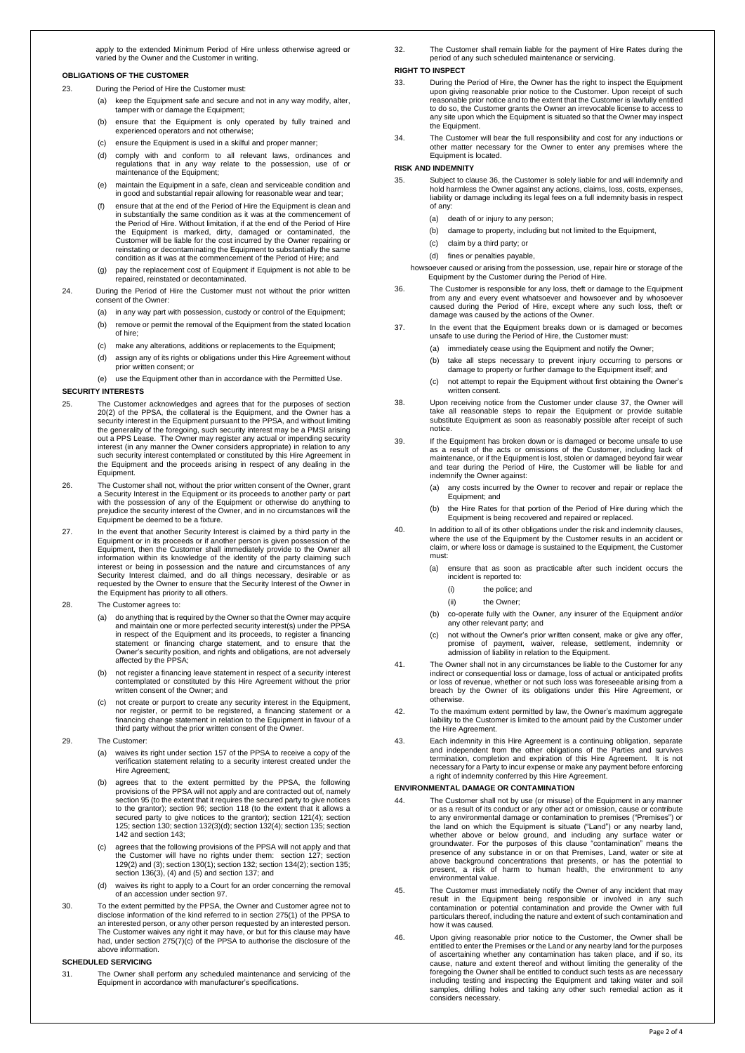#### apply to the extended Minimum Period of Hire unless otherwise agreed or varied by the Owner and the Customer in writing.

#### **OBLIGATIONS OF THE CUSTOMER**

## 23. During the Period of Hire the Customer must:

- keep the Equipment safe and secure and not in any way modify, alter, tamper with or damage the Equipment;
	- (b) ensure that the Equipment is only operated by fully trained and experienced operators and not otherwise;
	- (c) ensure the Equipment is used in a skilful and proper manner;
	- (d) comply with and conform to all relevant laws, ordinances and regulations that in any way relate to the possession, use of or maintenance of the Equipment;
	- (e) maintain the Equipment in a safe, clean and serviceable condition and in good and substantial repair allowing for reasonable wear and tear;
	- ensure that at the end of the Period of Hire the Equipment is clean and in substantially the same condition as it was at the commencement of the Period of Hire. Without limitation, if at the end of the Period of Hire the Equipment is marked, dirty, damaged or contaminated, the Customer will be liable for the cost incurred by the Owner repairing or reinstating or decontaminating the Equipment to substantially the same condition as it was at the commencement of the Period of Hire; and
	- (g) pay the replacement cost of Equipment if Equipment is not able to be repaired, reinstated or decontaminated.
- 24. During the Period of Hire the Customer must not without the prior written consent of the Owner:
	- (a) in any way part with possession, custody or control of the Equipment;
	- (b) remove or permit the removal of the Equipment from the stated location of hire;
	- (c) make any alterations, additions or replacements to the Equipment;
	- (d) assign any of its rights or obligations under this Hire Agreement without prior written consent; or

(e) use the Equipment other than in accordance with the Permitted Use.

#### **SECURITY INTERESTS**

- 25. The Customer acknowledges and agrees that for the purposes of section 20(2) of the PPSA, the collateral is the Equipment, and the Owner has a security interest in the Equipment pursuant to the PPSA, and without limiting the generality of the foregoing, such security interest may be a PMSI arising out a PPS Lease. The Owner may register any actual or impending security interest (in any manner the Owner considers appropriate) in relation to any such security interest contemplated or constituted by this Hire Agreement the Equipment and the proceeds arising in respect of any dealing in the Equipment.
- 26. The Customer shall not, without the prior written consent of the Owner, grant a Security Interest in the Equipment or its proceeds to another party or part with the possession of any of the Equipment or otherwise do anything to prejudice the security interest of the Owner, and in no circumstances will the Equipment be deemed to be a fixture.
- 27. In the event that another Security Interest is claimed by a third party in the Equipment or in its proceeds or if another person is given possession of the Equipment, then the Customer shall immediately provide to the Owner all<br>information within its knowledge of the identity of the party claiming such<br>interest or being in possession and the nature and circumstances of any<br>in requested by the Owner to ensure that the Security Interest of the Owner in the Equipment has priority to all others.
- 28. The Customer agrees to:
	- (a) do anything that is required by the Owner so that the Owner may ad and maintain one or more perfected security interest(s) under the PPSA in respect of the Equipment and its proceeds, to register a financing statement or financing charge statement, and to ensure that the Owner's security position, and rights and obligations, are not adversely affected by the PPSA;
	- (b) not register a financing leave statement in respect of a security interest contemplated or constituted by this Hire Agreement without the prior written consent of the Owner; and
	- (c) not create or purport to create any security interest in the Equipment, nor register, or permit to be registered, a financing statement or a financing change statement in relation to the Equipment in favour of a third party without the prior written consent of the Owner.
- 29. The Customer:
	- (a) waives its right under section 157 of the PPSA to receive a copy of the verification statement relating to a security interest created under the Hire Agreement;
	- (b) agrees that to the extent permitted by the PPSA, the following provisions of the PPSA will not apply and are contracted out of, namely section 95 (to the extent that it requires the secured party to give notices to the grantor); section 96; section 118 (to the extent that it allows a secured party to give notices to the grantor); section 121(4); section 125; section 130; section 132(3)(d); section 132(4); section 135; section 142 and section 143;
	- (c) agrees that the following provisions of the PPSA will not apply and that the Customer will have no rights under them: section 127; section 129(2) and (3); section 130(1); section 132; section 134(2); section 135; section 136(3), (4) and (5) and section 137; and
	- (d) waives its right to apply to a Court for an order concerning the removal of an accession under section 97.
- 30. To the extent permitted by the PPSA, the Owner and Customer agree not to disclose information of the kind referred to in section 275(1) of the PPSA to an interested person, or any other person requested by an interested person. The Customer waives any right it may have, or but for this clause may have had, under section 275(7)(c) of the PPSA to authorise the disclosure of the above information.

## **SCHEDULED SERVICING**

31. The Owner shall perform any scheduled maintenance and servicing of the Equipment in accordance with manufacturer's specifications.

32. The Customer shall remain liable for the payment of Hire Rates during the period of any such scheduled maintenance or servicing.

## **RIGHT TO INSPECT**

- 33. During the Period of Hire, the Owner has the right to inspect the Equipment upon giving reasonable prior notice to the Customer. Upon receipt of such reasonable prior notice and to the extent that the Customer is lawfully entitled to do so, the Customer grants the Owner an irrevocable license to access to any site upon which the Equipment is situated so that the Owner may inspect the Equipment.
- 34. The Customer will bear the full responsibility and cost for any inductions or other matter necessary for the Owner to enter any premises where the Equipment is located.

#### **RISK AND INDEMNITY**

- 35. Subject to clause 36, the Customer is solely liable for and will indemnify and hold harmless the Owner against any actions, claims, loss, costs, expert liability or damage including its legal fees on a full indemnity basis in respect of any:
	- (a) death of or injury to any person;
	- (b) damage to property, including but not limited to the Equipment,
	- (c) claim by a third party; or
	- (d) fines or penalties payable,
	- howsoever caused or arising from the possession, use, repair hire or storage of the Equipment by the Customer during the Period of Hire.
- 36. The Customer is responsible for any loss, theft or damage to the Equipment from any and every event whatsoever and howsoever and by whosoever caused during the Period of Hire, except where any such loss, theft or damage was caused by the actions of the Owner.
- 37. In the event that the Equipment breaks down or is damaged or becomes unsafe to use during the Period of Hire, the Customer must
	- (a) immediately cease using the Equipment and notify the Owner;
	- (b) take all steps necessary to prevent injury occurring to persons or damage to property or further damage to the Equipment itself; and
	- (c) not attempt to repair the Equipment without first obtaining the Owner's written consent.
- 38. Upon receiving notice from the Customer under clause 37, the Owner will take all reasonable steps to repair the Equipment or provide suitable substitute Equipment as soon as reasonably possible after receipt of such notice.
- 39. If the Equipment has broken down or is damaged or become unsafe to use as a result of the acts or omissions of the Customer, including lack of maintenance, or if the Equipment is lost, stolen or damaged beyond fair wear and tear during the Period of Hire, the Customer will be liable for and indemnify the Owner against:
	- (a) any costs incurred by the Owner to recover and repair or replace the Equipment; and
	- (b) the Hire Rates for that portion of the Period of Hire during which the Equipment is being recovered and repaired or replaced.
- 40. In addition to all of its other obligations under the risk and indemnity clauses, where the use of the Equipment by the Customer results in an accident or claim, or where loss or damage is sustained to the Equipment, the Customer must:
	- (a) ensure that as soon as practicable after such incident occurs the incident is reported to:
		- (i) the police; and
		- (ii) the Owner;
	- (b) co-operate fully with the Owner, any insurer of the Equipment and/or any other relevant party; and
	- (c) not without the Owner's prior written consent, make or give any offer, promise of payment, waiver, release, settlement, indemnity or admission of liability in relation to the Equipment.
- 41. The Owner shall not in any circumstances be liable to the Customer for any indirect or consequential loss or damage, loss of actual or anticipated profits or loss of revenue, whether or not such loss was foreseeable arising from a breach by the Owner of its obligations under this Hire Agreement, or otherwise.
- 42. To the maximum extent permitted by law, the Owner's maximum aggregate liability to the Customer is limited to the amount paid by the Customer under the Hire Agreement.
- 43. Each indemnity in this Hire Agreement is a continuing obligation, separate and independent from the other obligations of the Parties and survives termination, completion and expiration of this Hire Agreement. It is not necessary for a Party to incur expense or make any payment before enforcing a right of indemnity conferred by this Hire Agreement.

## **ENVIRONMENTAL DAMAGE OR CONTAMINATION**

- The Customer shall not by use (or misuse) of the Equipment in any manner or as a result of its conduct or any other act or omission, cause or contribute to any environmental damage or contamination to premises ("Premises") or the land on which the Equipment is situate ("Land") or any nearby land, whether above or below ground, and including any surface water or groundwater. For the purposes of this clause "contamination" means the presence of any substance in or on that Premises, Land, water or site at above background concentrations that presents, or has the potential to present, a risk of harm to human health, the environment to any environmental value.
- 45. The Customer must immediately notify the Owner of any incident that may result in the Equipment being responsible or involved in any such contamination or potential contamination and provide the Owner with full particu how it was caused.
- 46. Upon giving reasonable prior notice to the Customer, the Owner shall be entitled to enter the Premises or the Land or any nearby land for the purposes of ascertaining whether any contamination has taken place, and if so, its cause, nature and extent thereof and without limiting the generality of the foregoing the Owner shall be entitled to conduct such tests as are necessary including testing and inspecting the Equipment and taking water and soil samples, drilling holes and taking any other such remedial action as it considers necessary.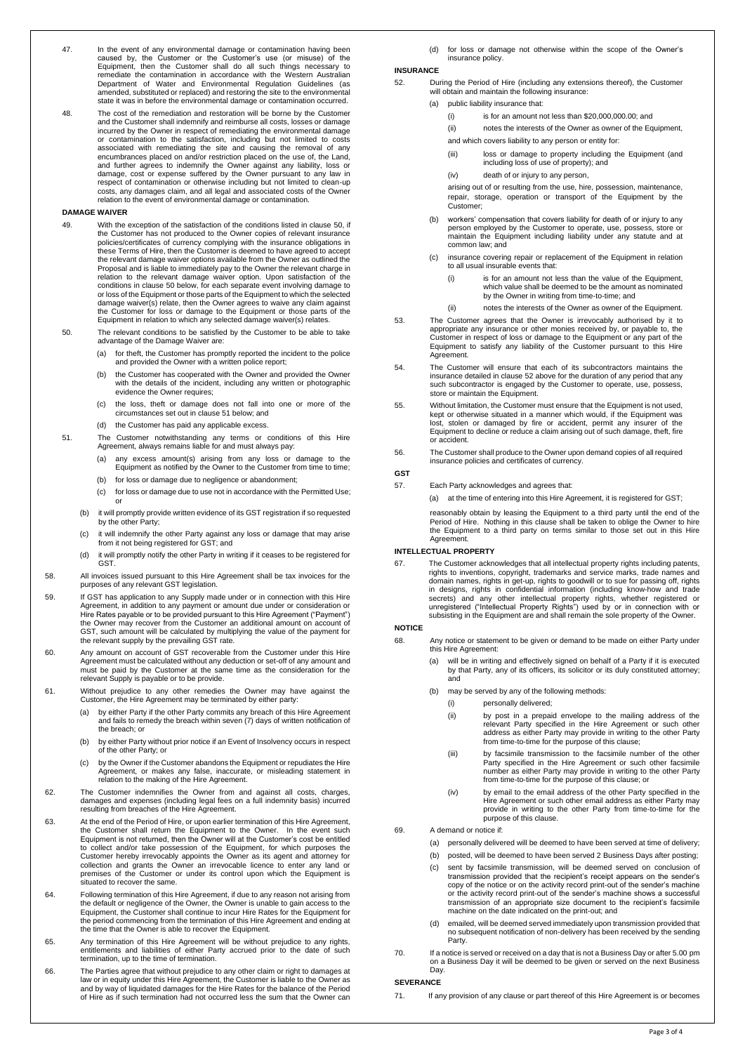- 47. In the event of any environmental damage or contamination having been caused by, the Customer or the Customer's use (or misuse) of the Equipment, then the Customer shall do all such things necessary to remediate the contamination in accordance with the Western Australian Department of Water and Environmental Regulation Guidelines (as amended, substituted or replaced) and restoring the site to the environmental state it was in before the environmental damage or contamination occurred.
- 48. The cost of the remediation and restoration will be borne by the Customer and the Customer shall indemnify and reimburse all costs, losses or damage incurred by the Owner in respect of remediating the environmental damage or contamination to the satisfaction, including but not limited to costs associated with remediating the site and causing the removal of any encumbrances placed on and/or restriction placed on the use of, the Land, and further agrees to indemnify the Owner against any liability, loss or damage, cost or expense suffered by the Owner pursuant to any law in respect of contamination or otherwise including but not limited to clean-up costs, any damages claim, and all legal and associated costs of the Owner relation to the event of environmental damage or contamination.

## **DAMAGE WAIVER**

- 49. With the exception of the satisfaction of the conditions listed in clause 50, if the Customer has not produced to the Owner copies of relevant insurance policies/certificates of currency complying with the insurance obligations in these Terms of Hire, then the Customer is deemed to have agreed to accept the relevant damage waiver options available from the Owner as outlined the Proposal and is liable to immediately pay to the Owner the relevant charge in relation to the relevant damage waiver option. Upon satisfaction of the conditions in clause 50 below, for each separate event involving damage to or loss of the Equipment or those parts of the Equipment to which the selected damage waiver(s) relate, then the Owner agrees to waive any claim against the Customer for loss or damage to the Equipment or those parts of the Equipment in relation to which any selected damage waiver(s) relates.
- 50. The relevant conditions to be satisfied by the Customer to be able to take advantage of the Damage Waiver are:
	- (a) for theft, the Customer has promptly reported the incident to the police and provided the Owner with a written police report;
	- (b) the Customer has cooperated with the Owner and provided the Owner with the details of the incident, including any written or photographic evidence the Owner requires;
	- (c) the loss, theft or damage does not fall into one or more of the circumstances set out in clause 51 below; and
	- (d) the Customer has paid any applicable excess.
- 51. The Customer notwithstanding any terms or conditions of this Hire Agreement, always remains liable for and must always pay:
	- (a) any excess amount(s) arising from any loss or damage to the Equipment as notified by the Owner to the Customer from time to time;
	- for loss or damage due to negligence or abandonment
	- (c) for loss or damage due to use not in accordance with the Permitted Use; or
	- (b) it will promptly provide written evidence of its GST registration if so requested by the other Party;
	- (c) it will indemnify the other Party against any loss or damage that may arise from it not being registered for GST; and
	- (d) it will promptly notify the other Party in writing if it ceases to be registered for **GST**
- 58. All invoices issued pursuant to this Hire Agreement shall be tax invoices for the purposes of any relevant GST legislation.
- 59. If GST has application to any Supply made under or in connection with this Hire Agreement, in addition to any payment or amount due under or consideration or Hire Rates payable or to be provided pursuant to this Hire Agreement ("Payment") the Owner may recover from the Customer an additional amount on account of GST, such amount will be calculated by multiplying the value of the payment for the relevant supply by the prevailing GST rate.
- 60. Any amount on account of GST recoverable from the Customer under this Hire Agreement must be calculated without any deduction or set-off of any amount and must be paid by the Customer at the same time as the consideration for the relevant Supply is payable or to be provide.
- 61. Without prejudice to any other remedies the Owner may have against the Customer, the Hire Agreement may be terminated by either party:
	- (a) by either Party if the other Party commits any breach of this Hire Agreement and fails to remedy the breach within seven (7) days of written notification of the breach; or
	- (b) by either Party without prior notice if an Event of Insolvency occurs in respect of the other Party; or
	- (c) by the Owner if the Customer abandons the Equipment or repudiates the Hire Agreement, or makes any false, inaccurate, or misleading statement in relation to the making of the Hire Agreement.
- 62. The Customer indemnifies the Owner from and against all costs, charges, damages and expenses (including legal fees on a full indemnity basis) incurred resulting from breaches of the Hire Agreement.
- 63. At the end of the Period of Hire, or upon earlier termination of this Hire Agreement, the Customer shall return the Equipment to the Owner. In the event such Equipment is not returned, then the Owner will at the Customer's cost be entitled to collect and/or take possession of the Equipment, for which purposes the<br>Customer hereby irrevocably appoints the Owner as its agent and attorney for<br>collection and grants the Owner an irrevocable licence to enter any la premises of the Customer or under its control upon which the Equipment is situated to recover the same.
- 64. Following termination of this Hire Agreement, if due to any reason not arising from the default or negligence of the Owner, the Owner is unable to gain access to the Equipment, the Customer shall continue to incur Hire Rates for the Equipment for the period commencing from the termination of this Hire Agreement and ending at the time that the Owner is able to recover the Equipment.
- 65. Any termination of this Hire Agreement will be without prejudice to any rights, entitlements and liabilities of either Party accrued prior to the date of such termination, up to the time of termination.
- 66. The Parties agree that without prejudice to any other claim or right to damages at law or in equity under this Hire Agreement, the Customer is liable to the Owner as and by way of liquidated damages for the Hire Rates for the balance of the Period of Hire as if such termination had not occurred less the sum that the Owner can

(d) for loss or damage not otherwise within the scope of the Owner's insurance policy.

# **INSURANCE**

- 52. During the Period of Hire (including any extensions thereof), the Customer will obtain and maintain the following insurance:
	- (a) public liability insurance that:
		- (i) is for an amount not less than \$20,000,000.00; and
		- (ii) notes the interests of the Owner as owner of the Equipment, and which covers liability to any person or entity for:
		- (iii) loss or damage to property including the Equipment (and including loss of use of property); and
		- (iv) death of or injury to any person,
		- arising out of or resulting from the use, hire, possession, maintenance, repair, storage, operation or transport of the Equipment by the Customer;
	- (b) workers' compensation that covers liability for death of or injury to any person employed by the Customer to operate, use, possess, store or maintain the Equipment including liability under any statute and at common law; and
	- (c) insurance covering repair or replacement of the Equipment in relation to all usual insurable events that:
		- (i) is for an amount not less than the value of the Equipment, which value shall be deemed to be the amount as nominated by the Owner in writing from time-to-time; and
		- (ii) notes the interests of the Owner as owner of the Equipment.
- 53. The Customer agrees that the Owner is irrevocably authorised by it to appropriate any insurance or other monies received by, or payable to, the Customer in respect of loss or damage to the Equipment or any part of the Equipment to satisfy any liability of the Customer pursuant to this Hire **Agreement**
- 54. The Customer will ensure that each of its subcontractors maintains the insurance detailed in clause 52 above for the duration of any period that any such subcontractor is engaged by the Customer to operate, use, possess store or maintain the Equipment.
- 55. Without limitation, the Customer must ensure that the Equipment is not used, kept or otherwise situated in a manner which would, if the Equipment was lost, stolen or damaged by fire or accident, permit any insurer of the Equipment to decline or reduce a claim arising out of such damage, theft, fire or accident.
- 56. The Customer shall produce to the Owner upon demand copies of all required insurance policies and certificates of currency.

## **GST**

- 57. Each Party acknowledges and agrees that:
	- (a) at the time of entering into this Hire Agreement, it is registered for GST;

reasonably obtain by leasing the Equipment to a third party until the end of the Period of Hire. Nothing in this clause shall be taken to oblige the Owner to hire the Equipment to a third party on terms similar to those set out in this Hire Agreement.

#### **INTELLECTUAL PROPERTY**

67. The Customer acknowledges that all intellectual property rights including patents, rights to inventions, copyright, trademarks and service marks, trade names and domain names, rights in get-up, rights to goodwill or to sue for passing off, rights in designs, rights in confidential information (including know-how and trade secrets) and any other intellectual property rights, whether registered or<br>unregistered ("Intellectual Property Rights") used by or in connection with or<br>subsisting in the Equipment are and shall remain the sole property o

## **NOTICE**

- 68. Any notice or statement to be given or demand to be made on either Party under this Hire Agreement:
	- (a) will be in writing and effectively signed on behalf of a Party if it is executed by that Party, any of its officers, its solicitor or its duly constituted attorney; and
	- (b) may be served by any of the following methods:
		- (i) personally delivered;
		- (ii) by post in a prepaid envelope to the mailing address of the relevant Party specified in the Hire Agreement or such other address as either Party may provide in writing to the other Party from time-to-time for the purpose of this clause;
		- (iii) by facsimile transmission to the facsimile number of the other Party specified in the Hire Agreement or such other facsimile number as either Party may provide in writing to the other Party from time-to-time for the purpose of this clause; or
		- (iv) by email to the email address of the other Party specified in the Hire Agreement or such other email address as either Party may provide in writing to the other Party from time-to-time for the purpose of this clause.
- 69. A demand or notice if:
	- (a) personally delivered will be deemed to have been served at time of delivery;
	- (b) posted, will be deemed to have been served 2 Business Days after posting;
	- (c) sent by facsimile transmission, will be deemed served on conclusion of transmission provided that the recipient's receipt appears on the sender's copy of the notice or on the activity record print-out of the sender's machine or the activity record print-out of the sender's machine shows a successful transmission of an appropriate size document to the recipient's facsimile machine on the date indicated on the print-out; and
	- (d) emailed, will be deemed served immediately upon transmission provided that no subsequent notification of non-delivery has been received by the sending Party.
- 70. If a notice is served or received on a day that is not a Business Day or after 5.00 pm on a Business Day it will be deemed to be given or served on the next Business Day.

#### **SEVERANCE**

71. If any provision of any clause or part thereof of this Hire Agreement is or becomes